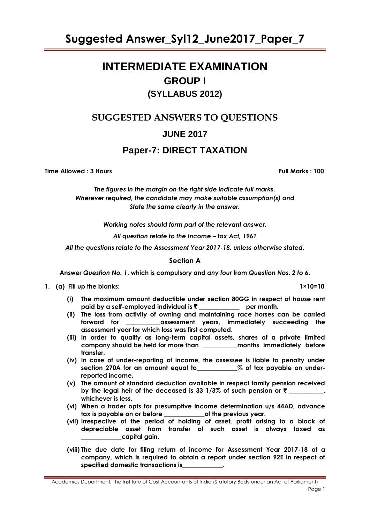# **INTERMEDIATE EXAMINATION GROUP I (SYLLABUS 2012)**

**SUGGESTED ANSWERS TO QUESTIONS**

**JUNE 2017**

# **Paper-7: DIRECT TAXATION**

**Time Allowed : 3 Hours Full Marks : 100**

*The figures in the margin on the right side indicate full marks. Wherever required, the candidate may make suitable assumption(s) and State the same clearly in the answer.*

*Working notes should form part of the relevant answer.*

*All question relate to the Income – tax Act, 1961*

*All the questions relate to the Assessment Year 2017-18, unless otherwise stated.*

# **Section A**

**Answer** *Question No. 1***, which is compulsory and** *any four* **from** *Question Nos. 2 to 6***.**

- **1. (a) Fill up the blanks: 1×10=10**
	- **(i) The maximum amount deductible under section 80GG in respect of house rent paid by a self-employed individual is** ` **\_\_\_\_\_\_\_\_\_\_\_\_\_ per month.**
	- **(ii) The loss from activity of owning and maintaining race horses can be carried forward for \_\_\_\_\_\_\_\_\_\_\_assessment years, immediately succeeding the assessment year for which loss was first computed.**
	- **(iii) In order to qualify as long-term capital assets, shares of a private limited company should be held for more than \_\_\_\_\_\_\_\_\_\_\_months immediately before transfer.**
	- **(iv) In case of under-reporting of income, the assessee is liable to penalty under section 270A for an amount equal to\_\_\_\_\_\_\_\_\_\_\_\_\_% of tax payable on underreported income.**
	- **(v) The amount of standard deduction available in respect family pension received**  by the legal heir of the deceased is 33  $1/3\%$  of such pension or  $\bar{z}$  \_\_\_\_\_\_\_\_\_, **whichever is less.**
	- **(vi) When a trader opts for presumptive income determination u/s 44AD, advance tax is payable on or before \_\_\_\_\_\_\_\_\_\_\_\_\_of the previous year.**
	- **(vii) Irrespective of the period of holding of asset, profit arising to a block of depreciable asset from transfer of such asset is always taxed as \_\_\_\_\_\_\_\_\_\_\_\_\_capital gain.**
	- **(viii) The due date for filing return of income for Assessment Year 2017-18 of a company, which is required to obtain a report under section 92E in respect of specified domestic transactions is\_\_\_\_\_\_\_\_\_\_\_\_\_.**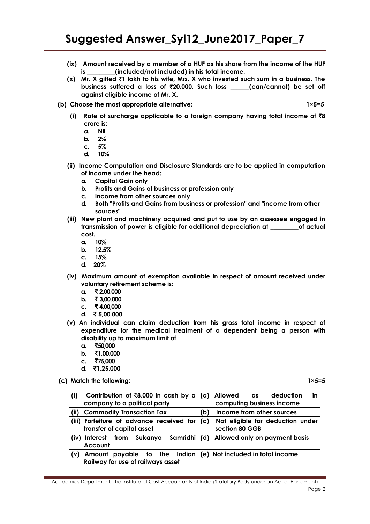- **(ix) Amount received by a member of a HUF as his share from the income of the HUF is \_\_\_\_\_\_\_\_\_(included/not included) in his total income.**
- **(x) Mr. X gifted** `**1 lakh to his wife, Mrs. X who invested such sum in a business. The business suffered a loss of** `**20,000. Such loss \_\_\_\_\_\_(can/cannot) be set off against eligible income of Mr. X.**
- **(b) Choose the most appropriate alternative: 1×5=5**

- **(i) Rate of surcharge applicable to a foreign company having total income of** `**8 crore is:**
	- **a. Nil**
	- **b. 2%**
	- **c. 5%**
	- **d. 10%**
- **(ii) Income Computation and Disclosure Standards are to be applied in computation of income under the head:**
	- **a. Capital Gain only**
	- **b. Profits and Gains of business or profession only**
	- **c. Income from other sources only**
	- **d. Both "Profits and Gains from business or profession" and "income from other sources"**
- **(iii) New plant and machinery acquired and put to use by an assessee engaged in transmission of power is eligible for additional depreciation at \_\_\_\_\_\_\_\_\_of actual cost.**
	- **a. 10%**
	- **b. 12.5%**
	- **c. 15%**
	- **d. 20%**
- **(iv) Maximum amount of exemption available in respect of amount received under voluntary retirement scheme is:** 
	- **a.** ` **2,00,000**
	- **b.** ₹ 3,00,000
	- **c.** ` **4,00,000**
	- **d.** ` **5,00,000**
- **(v) An individual can claim deduction from his gross total income in respect of expenditure for the medical treatment of a dependent being a person with disability up to maximum limit of**
	- **a.** `**50,000**
	- **b.** ₹1,00,000
	- **c.** `**75,000**
	- **d.** `**1,25,000**
- **(c) Match the following: 1×5=5**

| (i)   | Contribution of $\bar{z}8,000$ in cash by a                                                          |     | (a) Allowed as<br>in<br>deduction                  |
|-------|------------------------------------------------------------------------------------------------------|-----|----------------------------------------------------|
|       | company to a political party                                                                         |     | computing business income                          |
| (iii) | <b>Commodity Transaction Tax</b><br>Income from other sources<br>(b)                                 |     |                                                    |
|       | (iii) Forfeiture of advance received for<br>transfer of capital asset                                | (c) | Not eligible for deduction under<br>section 80 GGB |
| (iv)  | Interest from Sukanya Samridhi (d) Allowed only on payment basis<br>Account                          |     |                                                    |
| l (v) | Amount payable to the Indian $(e)$ Not included in total income<br>Railway for use of railways asset |     |                                                    |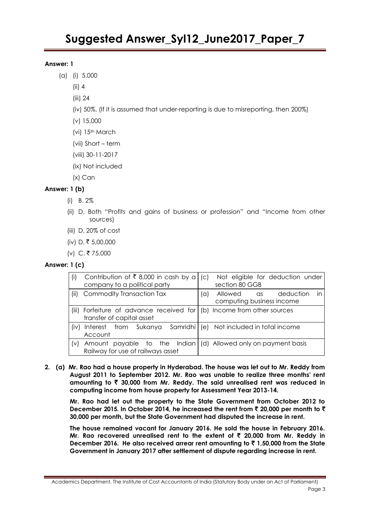#### **Answer: 1**

- (a) (i) 5,000
	- (ii) 4
	- (iii) 24
	- (iv) 50%. (If it is assumed that under-reporting is due to misreporting, then 200%)
	- (v) 15,000
	- (vi) 15th March
	- (vii) Short term
	- (viii) 30-11-2017
	- (ix) Not included
	- (x) Can

# **Answer: 1 (b)**

- (i) B. 2%
- (ii) D. Both "Profits and gains of business or profession" and "Income from other sources)
- (iii) D. 20% of cost
- (iv) D. ₹ 5,00,000
- (v) C. ₹ 75,000

#### **Answer: 1 (c)**

| (i)        | Contribution of ₹8,000 in cash by a<br>company to a political party                                 | $\mathcal{C}$<br>Not eligible for deduction under<br>section 80 GGB    |
|------------|-----------------------------------------------------------------------------------------------------|------------------------------------------------------------------------|
| (ii)       | Commodity Transaction Tax                                                                           | deduction<br>Allowed as<br>$\alpha$<br>in<br>computing business income |
|            | (iii) Forfeiture of advance received for (b) Income from other sources<br>transfer of capital asset |                                                                        |
| $(i \vee)$ | Interest from Sukanya Samridhi<br>Account                                                           | (e) Not included in total income                                       |
| (v)        | Amount payable to the Indian<br>Railway for use of railways asset                                   | (d) Allowed only on payment basis                                      |

**2. (a) Mr. Rao had a house property in Hyderabad. The house was let out to Mr. Reddy from August 2011 to September 2012. Mr. Rao was unable to realize three months' rent amounting to** ` **30,000 from Mr. Reddy. The said unrealised rent was reduced in computing income from house property for Assessment Year 2013-14.**

**Mr. Rao had let out the property to the State Government from October 2012 to December 2015. In October 2014, he increased the rent from** ` **20,000 per month to** ` **30,000 per month, but the State Government had disputed the increase in rent.**

**The house remained vacant for January 2016. He sold the house in February 2016. Mr. Rao recovered unrealised rent to the extent of** ` **20,000 from Mr. Reddy in December 2016. He also received arrear rent amounting to** ` **1,50,000 from the State Government in January 2017 after settlement of dispute regarding increase in rent.**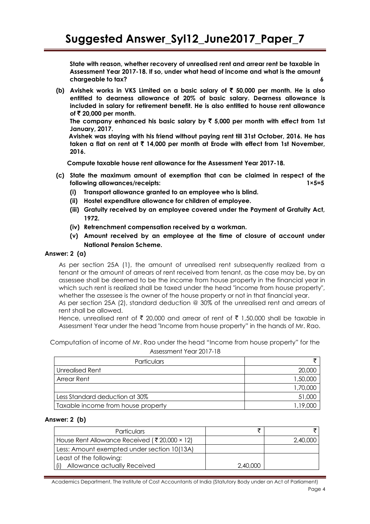**State with reason, whether recovery of unrealised rent and arrear rent be taxable in Assessment Year 2017-18. If so, under what head of income and what is the amount chargeable to tax? 6**

**(b) Avishek works in VKS Limited on a basic salary of** ` **50,000 per month. He is also entitled to dearness allowance of 20% of basic salary. Dearness allowance is included in salary for retirement benefit. He is also entitled to house rent allowance of ₹20,000 per month.** 

The company enhanced his basic salary by  $\bar{\tau}$  5,000 per month with effect from 1st **January, 2017.**

**Avishek was staying with his friend without paying rent till 31st October, 2016. He has taken a flat on rent at** ` **14,000 per month at Erode with effect from 1st November, 2016.**

**Compute taxable house rent allowance for the Assessment Year 2017-18.**

- **(c) State the maximum amount of exemption that can be claimed in respect of the following allowances/receipts: 1×5=5**
	- **(i) Transport allowance granted to an employee who is blind.**
	- **(ii) Hostel expenditure allowance for children of employee.**
	- **(iii) Gratuity received by an employee covered under the Payment of Gratuity Act, 1972.**
	- **(iv) Retrenchment compensation received by a workman.**
	- **(v) Amount received by an employee at the time of closure of account under National Pension Scheme.**

#### **Answer: 2 (a)**

As per section 25A (1), the amount of unrealised rent subsequently realized from a tenant or the amount of arrears of rent received from tenant, as the case may be, by an assessee shall be deemed to be the income from house property in the financial year in which such rent is realized shall be taxed under the head "income from house property", whether the assessee is the owner of the house property or not in that financial year.

As per section 25A (2), standard deduction @ 30% of the unrealised rent and arrears of rent shall be allowed.

Hence, unrealised rent of  $\bar{\xi}$  20,000 and arrear of rent of  $\bar{\xi}$  1,50,000 shall be taxable in Assessment Year under the head "Income from house property" in the hands of Mr. Rao.

Computation of income of Mr. Rao under the head "Income from house property" for the Assessment Year 2017-18

| <b>Particulars</b>                 |          |
|------------------------------------|----------|
| Unrealised Rent                    | 20,000   |
| <b>Arrear Rent</b>                 | 1,50,000 |
|                                    | 1,70,000 |
| Less Standard deduction at 30%     | 51,000   |
| Taxable income from house property | 1.19.000 |

#### **Answer: 2 (b)**

| <b>Particulars</b>                           |          |          |
|----------------------------------------------|----------|----------|
| House Rent Allowance Received (₹20,000 × 12) |          | 2,40,000 |
| Less: Amount exempted under section 10(13A)  |          |          |
| Least of the following:                      |          |          |
| Allowance actually Received                  | 2,40,000 |          |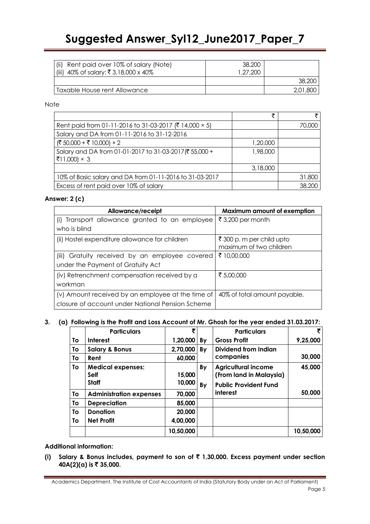| (ii) Rent paid over 10% of salary (Note)<br>(iii) 40% of salary: ₹3,18,000 x 40% | 38,200<br>1.27.200 |          |
|----------------------------------------------------------------------------------|--------------------|----------|
|                                                                                  |                    | 38,200   |
| Taxable House rent Allowance                                                     |                    | 2,01,800 |

#### Note

|                                                                       | ₹        |        |
|-----------------------------------------------------------------------|----------|--------|
| Rent paid from 01-11-2016 to 31-03-2017 (₹ 14,000 × 5)                |          | 70,000 |
| Salary and DA from 01-11-2016 to 31-12-2016                           |          |        |
| (₹ 50,000 + ₹ 10,000) × 2                                             | 1,20,000 |        |
| Salary and DA from 01-01-2017 to 31-03-2017(₹55,000 +<br>₹11,000) × 3 | 1,98,000 |        |
|                                                                       | 3,18,000 |        |
| 10% of Basic salary and DA from 01-11-2016 to 31-03-2017              |          | 31,800 |
| Excess of rent paid over 10% of salary                                |          | 38,200 |

### **Answer: 2 (c)**

| Allowance/receipt                                 | Maximum amount of exemption  |
|---------------------------------------------------|------------------------------|
| (i) Transport allowance granted to an employee    | ₹3,200 per month             |
| who is blind                                      |                              |
| (ii) Hostel expenditure allowance for children    | ₹ 300 p. m per child upto    |
|                                                   | maximum of two children      |
| (iii) Gratuity received by an employee covered    | ₹ 10,00,000                  |
| under the Payment of Gratuity Act                 |                              |
| (iv) Retrenchment compensation received by a      | ₹ 5,00,000                   |
| workman                                           |                              |
| (v) Amount received by an employee at the time of | 40% of total amount payable. |
| closure of account under National Pension Scheme  |                              |

### **3. (a) Following is the Profit and Loss Account of Mr. Ghosh for the year ended 31.03.2017:**

|    | <b>Particulars</b>                      | 罗         |    | <b>Particulars</b>                                    |           |
|----|-----------------------------------------|-----------|----|-------------------------------------------------------|-----------|
| Τo | <b>Interest</b>                         | 1,20,000  | By | <b>Gross Profit</b>                                   | 9,25,000  |
| To | <b>Salary &amp; Bonus</b>               | 2,70,000  | By | Dividend from Indian                                  |           |
| To | Rent                                    | 60,000    |    | companies                                             | 30,000    |
| To | <b>Medical expenses:</b><br><b>Self</b> | 15,000    | By | <b>Agricultural income</b><br>(From land in Malaysia) | 45,000    |
|    | <b>Staff</b>                            | 10,000    | By | <b>Public Provident Fund</b>                          |           |
| To | <b>Administration expenses</b>          | 70,000    |    | interest                                              | 50,000    |
| To | <b>Depreciation</b>                     | 85,000    |    |                                                       |           |
| Τo | <b>Donation</b>                         | 20,000    |    |                                                       |           |
| Τo | <b>Net Profit</b>                       | 4,00,000  |    |                                                       |           |
|    |                                         | 10,50,000 |    |                                                       | 10,50,000 |

#### **Additional information:**

**(i) Salary & Bonus includes, payment to son of** ` **1,30,000. Excess payment under section 40A(2)(a) is** ` **35,000.**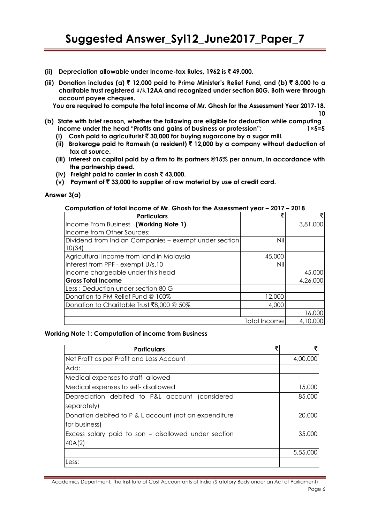- **(ii) Depreciation allowable under Income-tax Rules, 1962 is** ` **49,000.**
- **(iii) Donation includes (a)** ` **12,000 paid to Prime Minister's Relief Fund, and (b)** ` **8,000 to a charitable trust registered U/S.12AA and recognized under section 80G. Both were through account payee cheques.**

**You are required to compute the total income of Mr. Ghosh for the Assessment Year 2017-18.**

- **(b) State with brief reason, whether the following are eligible for deduction while computing income under the head "Profits and gains of business or profession": 1×5=5** 
	- **(i) Cash paid to agriculturist** ` **30,000 for buying sugarcane by a sugar mill.**
	- **(ii) Brokerage paid to Ramesh (a resident)** ` **12,000 by a company without deduction of tax at source.**
	- **(iii) Interest on capital paid by a firm to its partners @15% per annum, in accordance with the partnership deed.**
	- **(iv)** Freight paid to carrier in cash  $\bar{\tau}$  43,000.
	- **(v) Payment of** ` **33,000 to supplier of raw material by use of credit card.**

#### **Answer 3(a)**

| <b>Particulars</b>                                              |              | ₹        |
|-----------------------------------------------------------------|--------------|----------|
| Income From Business (Working Note 1)                           |              | 3,81,000 |
| Income from Other Sources:                                      |              |          |
| Dividend from Indian Companies - exempt under section<br>10(34) | Nil          |          |
| Agricultural income from land in Malaysia                       | 45,000       |          |
| Interest from PPF - exempt U/s.10                               | Nil          |          |
| Income chargeable under this head                               |              | 45,000   |
| <b>Gross Total Income</b>                                       |              | 4,26,000 |
| Less: Deduction under section 80 G                              |              |          |
| Donation to PM Relief Fund @ 100%                               | 12,000       |          |
| Donation to Charitable Trust ₹8,000 @ 50%                       | 4,000        |          |
|                                                                 |              | 16,000   |
|                                                                 | Total Income | 4,10,000 |

# **Computation of total income of Mr. Ghosh for the Assessment year – 2017 – 2018**

#### **Working Note 1: Computation of income from Business**

| <b>Particulars</b>                                    | ₹ | ₹        |
|-------------------------------------------------------|---|----------|
| Net Profit as per Profit and Loss Account             |   | 4,00,000 |
| Add:                                                  |   |          |
| Medical expenses to staff-allowed                     |   |          |
| Medical expenses to self-disallowed                   |   | 15,000   |
| Depreciation debited to P&L account (considered       |   | 85,000   |
| separately)                                           |   |          |
| Donation debited to P & L account (not an expenditure |   | 20,000   |
| for business)                                         |   |          |
| Excess salary paid to son – disallowed under section  |   | 35,000   |
| 40A(2)                                                |   |          |
|                                                       |   | 5,55,000 |
| Less:                                                 |   |          |

**10**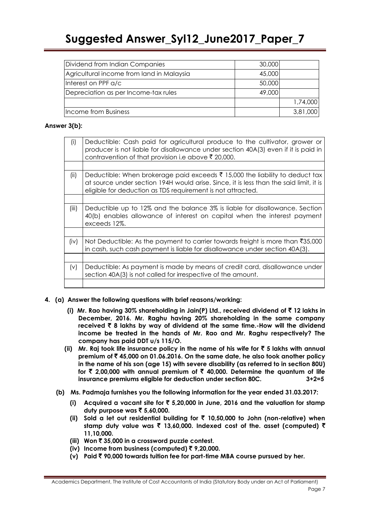| Dividend from Indian Companies            | 30,000 |          |
|-------------------------------------------|--------|----------|
| Agricultural income from land in Malaysia | 45,000 |          |
| Interest on PPF a/c                       | 50,000 |          |
| Depreciation as per Income-tax rules      | 49,000 |          |
|                                           |        | 1,74,000 |
| Income from Business                      |        | 3,81,000 |

## **Answer 3(b):**

| (i)   | Deductible: Cash paid for agricultural produce to the cultivator, grower or<br>producer is not liable for disallowance under section 40A(3) even if it is paid in<br>contravention of that provision i.e above ₹ 20,000.              |
|-------|---------------------------------------------------------------------------------------------------------------------------------------------------------------------------------------------------------------------------------------|
|       |                                                                                                                                                                                                                                       |
| (ii)  | Deductible: When brokerage paid exceeds ₹ 15,000 the liability to deduct tax<br>at source under section 194H would arise. Since, it is less than the said limit, it is<br>eligible for deduction as TDS requirement is not attracted. |
|       |                                                                                                                                                                                                                                       |
| (iii) | Deductible up to 12% and the balance 3% is liable for disallowance. Section<br>40(b) enables allowance of interest on capital when the interest payment<br>exceeds 12%.                                                               |
|       |                                                                                                                                                                                                                                       |
| (iv)  | Not Deductible: As the payment to carrier towards freight is more than $\overline{3}35,000$<br>in cash, such cash payment is liable for disallowance under section 40A(3).                                                            |
|       |                                                                                                                                                                                                                                       |
| (v)   | Deductible: As payment is made by means of credit card, disallowance under<br>section 40A(3) is not called for irrespective of the amount.                                                                                            |
|       |                                                                                                                                                                                                                                       |

# **4. (a) Answer the following questions with brief reasons/working:**

- **(i) Mr. Rao having 30% shareholding in Jain(P) Ltd., received dividend of** ` **12 lakhs in December, 2016. Mr. Raghu having 20% shareholding in the same company received** ` **8 lakhs by way of dividend at the same time.-How will the dividend income be treated in the hands of Mr. Rao and Mr. Raghu respectively? The company has paid DDT u/s 115/O.**
- **(ii)** Mr. Raj took life insurance policy in the name of his wife for  $\bar{\tau}$  5 lakhs with annual **premium of** ` **45,000 on 01.06.2016. On the same date, he also took another policy in the name of his son (age 15) with severe disability (as referred to in section 80U) for** ` **2,00,000 with annual premium of** ` **40,000. Determine the quantum of life insurance premiums eligible for deduction under section 80C. 3+2=5**
- **(b) Ms. Padmaja furnishes you the following information for the year ended 31.03.2017:**
	- **(i) Acquired a vacant site for** ` **5,20,000 in June, 2016 and the valuation for stamp duty purpose was** ` **5,60,000.**
	- **(ii) Sold a let out residential building for** ` **10,50,000 to John (non-relative) when stamp duty value was** ` **13,60,000. Indexed cost of the. asset (computed)** ` **11,10,000.**
	- **(iii) Won** ` **35,000 in a crossword puzzle contest.**
	- **(iv) Income from business (computed)** ` **9,20,000.**
	- **(v) Paid** ` **90,000 towards tuition fee for part-time MBA course pursued by her.**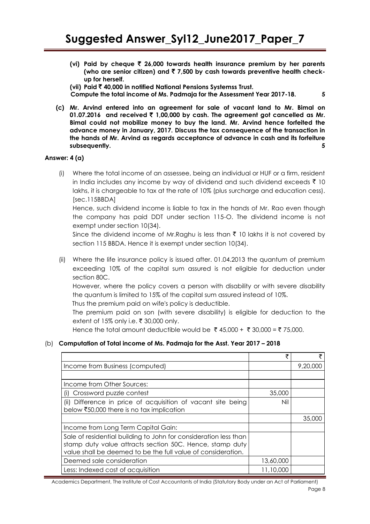**(vi) Paid by cheque** ` **26,000 towards health insurance premium by her parents (who are senior citizen) and** ` **7,500 by cash towards preventive health checkup for herself.**

**(vii) Paid** ` **40,000 in notified National Pensions Systemss Trust.**

 **Compute the total income of Ms. Padmaja for the Assessment Year 2017-18. 5**

**(c) Mr. Arvind entered into an agreement for sale of vacant land to Mr. Bimal on 01.07.2016 and received** ` **1,00,000 by cash. The agreement got cancelled as Mr. Bimal could not mobilize money to buy the land. Mr. Arvind hence forfeited the advance money in January, 2017. Discuss the tax consequence of the transaction in the hands of Mr. Arvind as regards acceptance of advance in cash and its forfeiture**  subsequently.

### **Answer: 4 (a)**

(i) Where the total income of an assessee, being an individual or HUF or a firm, resident in India includes any income by way of dividend and such dividend exceeds  $\bar{\tau}$  10 lakhs, it is chargeable to tax at the rate of 10% (plus surcharge and education cess). [sec.115BBDA]

Hence, such dividend income is liable to tax in the hands of Mr. Rao even though the company has paid DDT under section 115-O. The dividend income is not exempt under section 10(34).

Since the dividend income of Mr.Raghu is less than  $\bar{\tau}$  10 lakhs it is not covered by section 115 BBDA. Hence it is exempt under section 10(34).

(ii) Where the life insurance policy is issued after. 01.04.2013 the quantum of premium exceeding 10% of the capital sum assured is not eligible for deduction under section 80C.

However, where the policy covers a person with disability or with severe disability the quantum is limited to 15% of the capital sum assured instead of 10%.

Thus the premium paid on wife's policy is deductible.

The premium paid on son (with severe disability) is eligible for deduction to the extent of 15% only i.e.  $\bar{\tau}$  30,000 only.

Hence the total amount deductible would be ₹ 45,000 + ₹ 30,000 = ₹ 75,000.

# (b) **Computation of Total income of Ms. Padmaja for the Asst. Year 2017 – 2018**

|                                                                                                                                                                                              | ₹         | ₹        |
|----------------------------------------------------------------------------------------------------------------------------------------------------------------------------------------------|-----------|----------|
| Income from Business (computed)                                                                                                                                                              |           | 9,20,000 |
|                                                                                                                                                                                              |           |          |
| Income from Other Sources:                                                                                                                                                                   |           |          |
| Crossword puzzle contest<br>$\Box$                                                                                                                                                           | 35,000    |          |
| Difference in price of acquisition of vacant site being<br>(ii)<br>below $\bar{5}0,000$ there is no tax implication                                                                          | Nil       |          |
|                                                                                                                                                                                              |           | 35,000   |
| Income from Long Term Capital Gain:                                                                                                                                                          |           |          |
| Sale of residential building to John for consideration less than<br>stamp duty value attracts section 50C. Hence, stamp duty<br>value shall be deemed to be the full value of consideration. |           |          |
| Deemed sale consideration                                                                                                                                                                    | 13,60,000 |          |
| Less: Indexed cost of acquisition                                                                                                                                                            | 11,10,000 |          |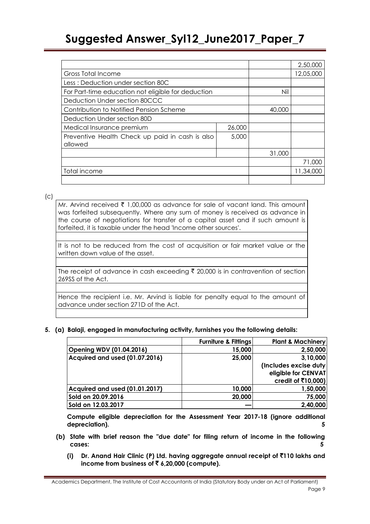|                                                    |        |        | 2,50,000  |
|----------------------------------------------------|--------|--------|-----------|
| Gross Total Income                                 |        |        | 12,05,000 |
| Less: Deduction under section 80C                  |        |        |           |
| For Part-time education not eligible for deduction |        | Nil    |           |
| Deduction Under section 80CCC                      |        |        |           |
| Contribution to Notified Pension Scheme            |        | 40,000 |           |
| Deduction Under section 80D                        |        |        |           |
| Medical Insurance premium                          | 26,000 |        |           |
| Preventive Health Check up paid in cash is also    | 5,000  |        |           |
| allowed                                            |        |        |           |
|                                                    |        | 31,000 |           |
|                                                    |        |        | 71,000    |
| Total income                                       |        |        | 11,34,000 |
|                                                    |        |        |           |

 $\mathcal{L}$ 

Mr. Arvind received  $\bar{\tau}$  1,00,000 as advance for sale of vacant land. This amount was forfeited subsequently. Where any sum of money is received as advance in the course of negotiations for transfer of a capital asset and if such amount is forfeited, it is taxable under the head 'Income other sources'.

It is not to be reduced from the cost of acquisition or fair market value or the written down value of the asset.

The receipt of advance in cash exceeding  $\bar{\tau}$  20,000 is in contravention of section 269SS of the Act.

Hence the recipient i.e. Mr. Arvind is liable for penalty equal to the amount of advance under section 271D of the Act.

**5. (a) Balaji, engaged in manufacturing activity, furnishes you the following details:**

|                                | <b>Furniture &amp; Fittings</b> | <b>Plant &amp; Machinery</b> |
|--------------------------------|---------------------------------|------------------------------|
| Opening WDV (01.04.2016)       | 15,000                          | 2,50,000                     |
| Acquired and used (01.07.2016) | 25,000                          | 3,10,000                     |
|                                |                                 | (Includes excise duty)       |
|                                |                                 | eligible for CENVAT          |
|                                |                                 | credit of $\bar{x}$ 10,000)  |
| Acquired and used (01.01.2017) | 10,000                          | 1,50,000                     |
| Sold on 20.09.2016             | 20,000                          | 75,000                       |
| Sold on 12.03.2017             |                                 | 2,40,000                     |

**Compute eligible depreciation for the Assessment Year 2017-18 (ignore additional depreciation). 5** 

- **(b) State with brief reason the "due date" for filing return of income in the following cases: 5**
	- **(i) Dr. Anand Hair Clinic (P) Ltd. having aggregate annual receipt of** `**110 lakhs and income from business of** ` **6,20,000 (compute).**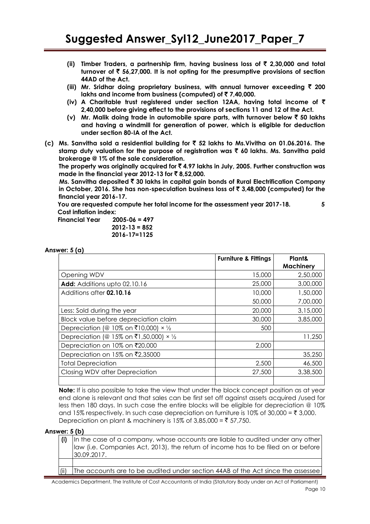- **(ii) Timber Traders, a partnership firm, having business loss of** ` **2,30,000 and total turnover of** ` **56,27,000. It is not opting for the presumptive provisions of section 44AD of the Act.**
- **(iii) Mr. Sridhar doing proprietary business, with annual turnover exceeding** ` **200 lakhs and income from business (computed) of** ` **7,40,000.**
- **(iv) A Charitable trust registered under section 12AA, having total income of** ` **2,40,000 before giving effect to the provisions of sections 11 and 12 of the Act.**
- **(v) Mr. Malik doing trade in automobile spare parts, with turnover below** ` **50 lakhs and having a windmill for generation of power, which is eligible for deduction under section 80-IA of the Act.**
- **(c) Ms. Sanvitha sold a residential building for** ` **52 lakhs to Ms.Vivitha on 01.06.2016. The stamp duty valuation for the purpose of registration was** ` **60 lakhs. Ms. Sanvitha paid brokerage @ 1% of the sale consideration.**

**The property was originally acquired for** ` **4.97 lakhs in July, 2005. Further construction was made in the financial year 2012-13 for** ` **8,52,000.**

**Ms. Sanvitha deposited** ` **30 lakhs in capital gain bonds of Rural Electrification Company in October, 2016. She has non-speculation business loss of** ` **3,48,000 (computed) for the financial year 2016-17.**

**You are requested compute her total income for the assessment year 2017-18. 5 Cost inflation index:**

| Financial Year | $2005 - 06 = 497$  |
|----------------|--------------------|
|                | $2012 - 13 = 852$  |
|                | $2016 - 17 = 1125$ |

**Answer: 5 (a)** 

|                                                | <b>Furniture &amp; Fittings</b> | Plant&<br><b>Machinery</b> |
|------------------------------------------------|---------------------------------|----------------------------|
| Opening WDV                                    | 15,000                          | 2,50,000                   |
| Add: Additions upto 02.10.16                   | 25,000                          | 3,00,000                   |
| Additions after 02.10.16                       | 10,000                          | 1,50,000                   |
|                                                | 50,000                          | 7,00,000                   |
| Less: Sold during the year                     | 20,000                          | 3,15,000                   |
| Block value before depreciation claim          | 30,000                          | 3,85,000                   |
| Depreciation (@ 10% on ₹10,000) $\times$ 1/2   | 500                             |                            |
| Depreciation (@ 15% on ₹1,50,000) $\times$ 1/2 |                                 | 11,250                     |
| Depreciation on 10% on ₹20,000                 | 2,000                           |                            |
| Depreciation on 15% on ₹2,35000                |                                 | 35,250                     |
| <b>Total Depreciation</b>                      | 2,500                           | 46,500                     |
| Closing WDV after Depreciation                 | 27,500                          | 3,38,500                   |
|                                                |                                 |                            |

**Note:** If is also possible to take the view that under the block concept position as at year end alone is relevant and that sales can be first set off against assets acquired /used for less then 180 days. In such case the entire blocks will be eligible for depreciation @ 10% and 15% respectively. In such case depreciation on furniture is 10% of 30,000 = ₹ 3,000. Depreciation on plant & machinery is 15% of 3,85,000 = ₹ 57,750.

#### **Answer: 5 (b)**

| (i) In the case of a company, whose accounts are liable to audited under any other<br>law (i.e. Companies Act, 2013), the return of income has to be filed on or before<br>30.09.2017. |
|----------------------------------------------------------------------------------------------------------------------------------------------------------------------------------------|
|                                                                                                                                                                                        |
|                                                                                                                                                                                        |

The accounts are to be audited under section 44AB of the Act since the assessee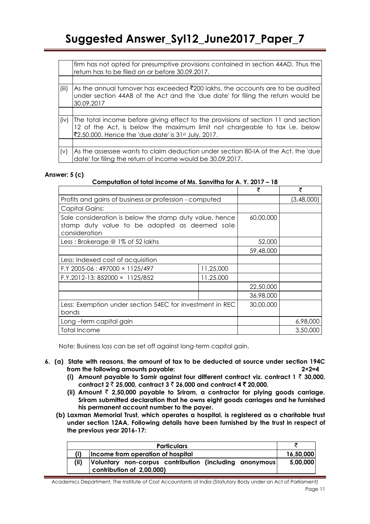|       | firm has not opted for presumptive provisions contained in section 44AD. Thus the<br>return has to be filed on or before 30.09.2017.                                                                                               |
|-------|------------------------------------------------------------------------------------------------------------------------------------------------------------------------------------------------------------------------------------|
|       |                                                                                                                                                                                                                                    |
| (iii) | As the annual turnover has exceeded $\bar{\tau}$ 200 lakhs, the accounts are to be audited<br>under section 44AB of the Act and the 'due date' for filing the return would be<br>30.09.2017                                        |
|       |                                                                                                                                                                                                                                    |
| (iv)  | The total income before giving effect to the provisions of section 11 and section<br>12 of the Act, is below the maximum limit not chargeable to tax i.e. below<br>₹2,50,000. Hence the 'due date' is 31 <sup>st</sup> July, 2017. |
|       |                                                                                                                                                                                                                                    |
| (v)   | As the assessee wants to claim deduction under section 80-IA of the Act, the 'due'<br>date' for filing the return of income would be 30.09.2017.                                                                                   |

### **Answer: 5 (c)**

### **Computation of total income of Ms. Sanvitha for A. Y. 2017 – 18**

|                                                                                                                           |           | ₹         | ₹          |
|---------------------------------------------------------------------------------------------------------------------------|-----------|-----------|------------|
| Profits and gains of business or profession - computed                                                                    |           |           | (3,48,000) |
| <b>Capital Gains:</b>                                                                                                     |           |           |            |
| Sale consideration is below the stamp duty value, hence<br>stamp duty value to be adopted as deemed sale<br>consideration |           | 60,00,000 |            |
| Less: Brokerage @ 1% of 52 lakhs                                                                                          |           | 52,000    |            |
|                                                                                                                           |           | 59,48,000 |            |
| Less: Indexed cost of acquisition                                                                                         |           |           |            |
| F.Y 2005-06: 497000 × 1125/497                                                                                            | 11,25,000 |           |            |
| F.Y.2012-13: 852000 × 1125/852                                                                                            | 11,25,000 |           |            |
|                                                                                                                           |           | 22,50,000 |            |
|                                                                                                                           |           | 36,98,000 |            |
| Less: Exemption under section 54EC for investment in REC<br>bonds                                                         |           | 30,00,000 |            |
| Long-term capital gain                                                                                                    |           |           | 6,98,000   |
| <b>Total Income</b>                                                                                                       |           |           | 3,50,000   |

Note: Business loss can be set off against long-term capital gain.

- **6. (a) State with reasons, the amount of tax to be deducted at source under section 194C from the following amounts payable: 2×2=4**
	- **(i) Amount payable to Samir against four different contract viz. contract 1** ` **30,000, contract 2** ` **25,000, contract 3** ` **26,000 and contract 4** ` **20,000.**
	- **(ii) Amount** ` **2,50,000 payable to Sriram, a contractor for plying goods carriage. Sriram submitted declaration that he owns eight goods carriages and he furnished his permanent account number to the payer.**
	- **(b) Laxman Memorial Trust, which operates a hospital, is registered as a charitable trust under section 12AA. Following details have been furnished by the trust in respect of the previous year 2016-17:**

|      | <b>Particulars</b>                                                                   |           |
|------|--------------------------------------------------------------------------------------|-----------|
|      | Income from operation of hospital                                                    | 16,50,000 |
| (ii) | Voluntary non-corpus contribution (including anonymous)<br>contribution of 2,00,000) | 5,00,000  |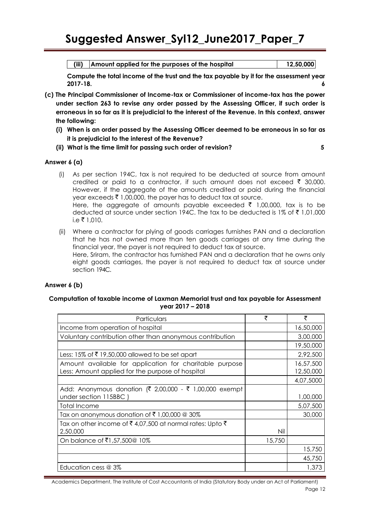**(iii) Amount applied for the purposes of the hospital 12,50,000**

**Compute the total income of the trust and the tax payable by it for the assessment year 2017-18. 6** 

- **(c) The Principal Commissioner of Income-tax or Commissioner of income-tax has the power under section 263 to revise any order passed by the Assessing Officer, if such order is erroneous in so far as it is prejudicial to the interest of the Revenue. In this context, answer the following:**
	- **(i) When is an order passed by the Assessing Officer deemed to be erroneous in so far as it is prejudicial to the interest of the Revenue?**
	- **(ii) What is the time limit for passing such order of revision? 5**

**Answer 6 (a)** 

- (i) As per section 194C, tax is not required to be deducted at source from amount credited or paid to a contractor, if such amount does not exceed  $\bar{\tau}$  30,000. However, if the aggregate of the amounts credited or paid during the financial year exceeds  $\bar{z}$  1,00,000, the payer has to deduct tax at source. Here, the aggregate of amounts payable exceeded  $\bar{\tau}$  1,00,000, tax is to be deducted at source under section 194C. The tax to be deducted is 1% of  $\bar{z}$  1,01,000  $i.e \t{F} 1,010.$
- (ii) Where a contractor for plying of goods carriages furnishes PAN and a declaration that he has not owned more than ten goods carriages at any time during the financial year, the payer is not required to deduct tax at source. Here, Sriram, the contractor has furnished PAN and a declaration that he owns only eight goods carriages, the payer is not required to deduct tax at source under section 194C.

# **Answer 6 (b)**

### **Computation of taxable income of Laxman Memorial trust and tax payable for Assessment year 2017 – 2018**

| Particulars                                                                                                 | ₹      | ₹                      |
|-------------------------------------------------------------------------------------------------------------|--------|------------------------|
| Income from operation of hospital                                                                           |        | 16,50,000              |
| Voluntary contribution other than anonymous contribution                                                    |        | 3,00,000               |
|                                                                                                             |        | 19,50,000              |
| Less: 15% of $\bar{\tau}$ 19,50,000 allowed to be set apart                                                 |        | 2,92,500               |
| Amount available for application for charitable purpose<br>Less: Amount applied for the purpose of hospital |        | 16,57,500<br>12,50,000 |
|                                                                                                             |        | 4,07,5000              |
| Add: Anonymous donation (₹ 2,00,000 - ₹ 1,00,000 exempt<br>under section 115BBC                             |        | 1,00,000               |
| Total Income                                                                                                |        | 5,07,500               |
| Tax on anonymous donation of ₹1,00,000 @ 30%                                                                |        | 30,000                 |
| Tax on other income of ₹4,07,500 at normal rates: Upto ₹<br>2,50,000                                        | Nil    |                        |
| On balance of ₹1,57,500@ 10%                                                                                | 15,750 |                        |
|                                                                                                             |        | 15,750                 |
|                                                                                                             |        | 45,750                 |
| Education cess @ 3%                                                                                         |        | 1,373                  |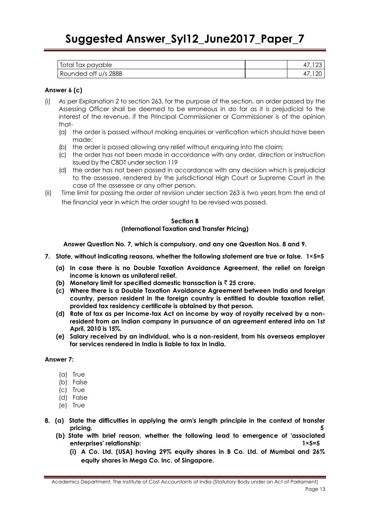| Total Tax payable    |     |
|----------------------|-----|
| Rounded off u/s 288B | 120 |

## **Answer 6 (c)**

- (i) As per Explanation 2 to section 263, for the purpose of the section, an order passed by the Assessing Officer shall be deemed to be erroneous in do far as it is prejudicial to the interest of the revenue, if the Principal Commissioner or Commissioner is of the opinion that-
	- (a) the order is passed without making enquiries or verification which should have been made;
	- (b) the order is passed allowing any relief without enquiring into the claim;
	- (c) the order has not been made in accordance with any order, direction or instruction issued by the CBDT under section 119
	- (d) the order has not been passed in accordance with any decision which is prejudicial to the assessee, rendered by the jurisdictional High Court or Supreme Court in the case of the assessee or any other person.
- (ii) Time limit for passing the order of revision under section 263 is two years from the end of the financial year in which the order sought to be revised was passed.

## **Section B (International Taxation and Transfer Pricing)**

**Answer Question No. 7, which is compulsory, and any one Question Nos. 8 and 9.**

- **7. State, without indicating reasons, whether the following statement are true or false. 1×5=5**
	- **(a) In case there is no Double Taxation Avoidance Agreement, the relief on foreign income is known as unilateral relief.**
	- **(b)** Monetary limit for specified domestic transaction is  $\bar{z}$  25 crore.
	- **(c) Where there is a Double Taxation Avoidance Agreement between India and foreign country, person resident in the foreign country is entitled to double taxation relief, provided tax residency certificate is obtained by that person.**
	- **(d) Rate of tax as per Income-tax Act on income by way of royalty received by a nonresident from an Indian company in pursuance of an agreement entered into on 1st April, 2010 is 15%.**
	- **(e) Salary received by an individual, who is a non-resident, from his overseas employer for services rendered in India is liable to tax in India.**

#### **Answer 7:**

- (a) True
- (b) False
- (c) True
- (d) False
- (e) True
- **8. (a) State the difficulties in applying the arm's length principle in the context of transfer pricing.** 5
	- **(b) State with brief reason, whether the following lead to emergence of 'associated enterprises' relationship: 1×5=5**
		- **(i) A Co. Ltd. (USA) having 29% equity shares in B Co. Ltd. of Mumbai and 26% equity shares in Mega Co. Inc. of Singapore.**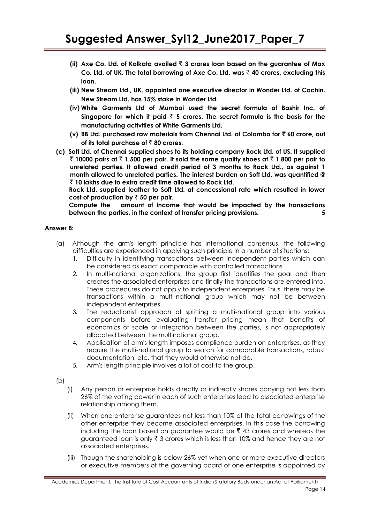- **(ii) Axe Co. Ltd. of Kolkata availed** ` **3 crores loan based on the guarantee of Max Co. Ltd. of UK. The total borrowing of Axe Co. Ltd. was** ` **40 crores, excluding this loan.**
- **(iii) New Stream Ltd., UK, appointed one executive director in Wonder Ltd. of Cochin. New Stream Ltd. has 15% stake in Wonder Ltd.**
- **(iv) White Garments Ltd of Mumbai used the secret formula of Bashir Inc. of**  Singapore for which it paid  $\bar{z}$  5 crores. The secret formula is the basis for the **manufacturing activities of White Garments Ltd.**
- **(v) BB Ltd. purchased raw materials from Chennai Ltd. of Colombo for** ` **60 crore, out**  of its total purchase of  $\bar{\tau}$  80 crores.
- **(c) Soft Ltd. of Chennai supplied shoes to its holding company Rock Ltd. of US. It supplied**  ` **10000 pairs at** ` **1,500 per pair. It sold the same quality shoes at** ` **1,800 per pair to unrelated parties. It allowed credit period of 3 months to Rock Ltd., as against 1 month allowed to unrelated parties. The interest burden on Soft Ltd. was quantified @**  ` **10 lakhs due to extra credit time allowed to Rock Ltd.**

**Rock Ltd. supplied leather to Soft Ltd. at concessional rate which resulted in lower**  cost of production by  $\bar{z}$  50 per pair.

**Compute the amount of income that would be impacted by the transactions between the parties, in the context of transfer pricing provisions. 5**

### **Answer 8:**

- (a)Although the arm's length principle has international consensus, the following difficulties are experienced in applying such principle in a number of situations:
	- 1. Difficulty in identifying transactions between independent parties which can be considered as exact comparable with controlled transactions
	- 2. In multi-national organizations, the group first identifies the goal and then creates the associated enterprises and finally the transactions are entered into. These procedures do not apply to independent enterprises. Thus, there may be transactions within a multi-national group which may not be between independent enterprises.
	- 3. The reductionist approach of splitting a multi-national group into various components before evaluating transfer pricing mean that benefits of economics of scale or integration between the parties, is not appropriately allocated between the multinational group.
	- 4. Application of arm's length imposes compliance burden on enterprises, as they require the multi-national group to search for comparable transactions, robust documentation, etc. that they would otherwise not do.
	- 5. Arm's length principle involves a lot of cost to the group.

(b)

- (i) Any person or enterprise holds directly or indirectly shares carrying not less than 26% of the voting power in each of such enterprises lead to associated enterprise relationship among them.
- (ii) When one enterprise guarantees not less than 10% of the total borrowings of the other enterprise they become associated enterprises. In this case the borrowing including the loan based on guarantee would be  $\bar{z}$  43 crores and whereas the guaranteed loan is only  $\bar{\tau}$  3 crores which is less than 10% and hence they are not associated enterprises.
- (iii) Though the shareholding is below 26% yet when one or more executive directors or executive members of the governing board of one enterprise is appointed by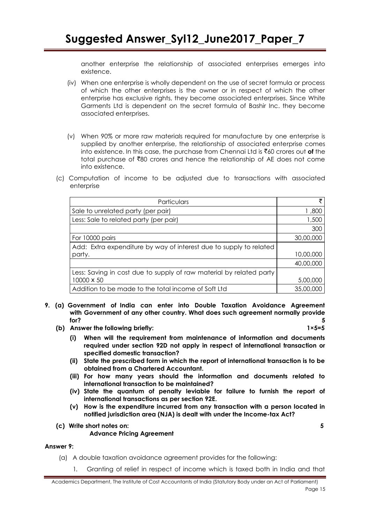another enterprise the relationship of associated enterprises emerges into existence.

- (iv) When one enterprise is wholly dependent on the use of secret formula or process of which the other enterprises is the owner or in respect of which the other enterprise has exclusive rights, they become associated enterprises. Since White Garments Ltd is dependent on the secret formula of Bashir Inc. they become associated enterprises.
- (v) When 90% or more raw materials required for manufacture by one enterprise is supplied by another enterprise, the relationship of associated enterprise comes into existence. In this case, the purchase from Chennai Ltd is `60 crores out **of** the total purchase of `80 crores and hence the relationship of AE does not come into existence.
- (c) Computation of income to be adjusted due to transactions with associated enterprise

| Particulars                                                         |           |
|---------------------------------------------------------------------|-----------|
| Sale to unrelated party (per pair)                                  | 1,800     |
| Less: Sale to related party (per pair)                              | 1,500     |
|                                                                     | 300       |
| For 10000 pairs                                                     | 30,00,000 |
| Add: Extra expenditure by way of interest due to supply to related  |           |
| party.                                                              | 10,00,000 |
|                                                                     | 40,00,000 |
| Less: Saving in cost due to supply of raw material by related party |           |
| 10000 x 50                                                          | 5,00,000  |
| Addition to be made to the total income of Soft Ltd                 | 35,00,000 |

- **9. (a) Government of India can enter into Double Taxation Avoidance Agreement with Government of any other country. What does such agreement normally provide for? 5**
	- **(b) Answer the following briefly: 1×5=5**
		- **(i) When will the requirement from maintenance of information and documents required under section 92D not apply in respect of international transaction or specified domestic transaction?**
		- **(ii) State the prescribed form in which the report of international transaction is to be obtained from a Chartered Accountant.**
		- **(iii) For how many years should the information and documents related to international transaction to be maintained?**
		- **(iv) State the quantum of penalty leviable for failure to furnish the report of international transactions as per section 92E.**
		- **(v) How is the expenditure incurred from any transaction with a person located in notified jurisdiction area (NJA) is dealt with under the Income-tax Act?**
	- **(c) Write short notes on: 5**

**Advance Pricing Agreement**

#### **Answer 9:**

- (a) A double taxation avoidance agreement provides for the following:
	- 1. Granting of relief in respect of income which is taxed both in India and that